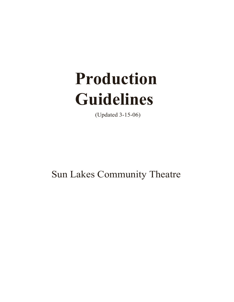# **Production Guidelines**

(Updated 3-15-06)

Sun Lakes Community Theatre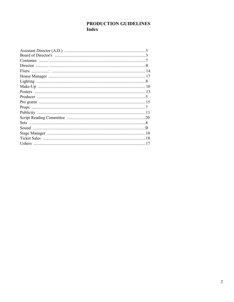# PRODUCTION GUIDELINES **Index**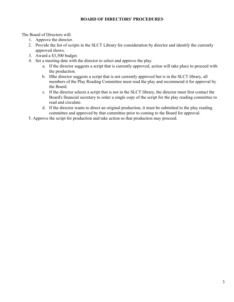## **BOARD OF DIRECTORS' PROCEDURES**

The Board of Directors will:

- 1. Approve the director.
- 2. Provide the list of scripts in the SLCT Library for consideration by director and identify the currently approved shows.
- 3. Award a \$3,500 budget.
- 4. Set a meeting date with the director to select and approve the play.
	- a. If the director suggests a script that is currently approved, action will take place to proceed with the production.
	- b. lfthe director suggests a script that is not currently approved but is in the SLCT library, all members of the Play Reading Committee must read the play and recommend it for approval by the Board.
	- c. If the director selects a script that is not in the SLCT library, the director must first contact the Board's financial secretary to order a single copy of the script for the play reading committee to read and circulate.
	- d. If the director wants to direct an original production, it must be submitted to the play reading committee and approved by that committee prior to coming to the Board for approval.
- 5. Approve the script for production and take action so that production may proceed.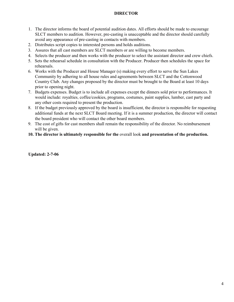# **DIRECTOR**

- 1. The director informs the board of potential audition dates. All efforts should be made to encourage SLCT members to audition. However, pre-casting is unacceptable and the director should carefully avoid any appearance of pre-casting in contacts with members.
- 2. Distributes script copies to interested persons and holds auditions.
- 3. Assures that all cast members are SLCT members or are willing to become members.
- 4. Selects the producer and then works with the producer to select the assistant director and crew chiefs.
- 5. Sets the rehearsal schedule in consultation with the Producer. Producer then schedules the space for rehearsals.
- 6. Works with the Producer and House Manager (s) making every effort to serve the Sun Lakes Community by adhering to all house rules and agreements between SLCT and the Cottonwood Country Club. Any changes proposed by the director must be brought to the Board at least 10 days prior to opening night.
- 7. Budgets expenses. Budget is to include all expenses except the dinners sold prior to performances. It would include: royalties, coffee/cookies, programs, costumes, paint supplies, lumber, cast party and any other costs required to present the production.
- 8. If the budget previously approved by the board is insufficient, the director is responsible for requesting additional funds at the next SLCT Board meeting. If it is a summer production, the director will contact the board president who will contact the other board members.
- 9. The cost of gifts for cast members shall remain the responsibility of the director. No reimbursement will be given.
- **10. The director is ultimately responsible for the** overall look **and presentation of the production.**

**Updated: 2-7-06**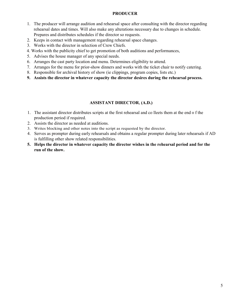## **PRODUCER**

- 1. The producer will arrange audition and rehearsal space after consulting with the director regarding rehearsal dates and times. Will also make any alterations necessary due to changes in schedule. Prepares and distributes schedules if the director so requests.
- 2. Keeps in contact with management regarding rehearsal space changes.
- 3. Works with the director in selection of Crew Chiefs.
- 4. Works with the publicity chief to get promotion of both auditions and performances,
- 5. Advises the house manager of any special needs.
- 6. Arranges the cast party location and menu. Determines eligibility to attend.
- 7. Arranges for the menu for prior-show dinners and works with the ticket chair to notify catering.
- 8. Responsible for archival history of show (ie clippings, program copies, lists etc.)
- **9. Assists the director in whatever capacity the director desires during the rehearsal process.**

# **ASSISTANT DIRECTOR, (A.D.)**

- 1. The assistant director distributes scripts at the first rehearsal and co lleets them at the end 0 f the production period if required.
- 2. Assists the director as needed at auditions.
- 3. Writes blocking and other notes into the script as requested by the director.
- 4. Serves as prompter during early rehearsals and obtains a regular prompter during later rehearsals if AD is fulfilling other show related responsibilities.
- **5. Helps the director in whatever capacity the director wishes in the rehearsal period and for the run of the show.**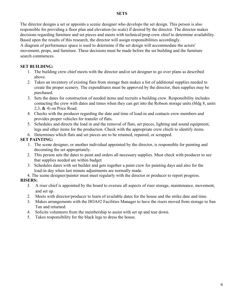#### **SETS**

The director designs a set or appoints a scenic designer who develops the set design. This person is also responsible for providing a floor plan and elevation (to scale) if desired by the director. The director makes decisions regarding furniture and set pieces and meets with technical/prop crew chief to determine availability. Based upon the results of this research, the director will assign responsibilities accordingly.

A diagram of performance space is used to determine if the set design will accommodate the actors' movement, props, and furniture. These decisions must be made before the set building and the furniture search commences.

# **SET BUILDING:**

- 1. The building crew chief meets with the director and/or set designer to go over plans as described above.
- 2. Takes an inventory of existing flats from storage then makes a list of additional supplies needed to create the proper scenery. The expenditures must be approved by the director, then supplies may be purchased.
- 3. Sets the dates for construction of needed items and recruits a building crew. Responsibility includes contacting the crew with dates and times when they can get into the Robson storage units (bldg 8, units 2,3, & 4) on Price Road.
- 4. Checks with the producer regarding the date and time of load-in and contacts crew members and provides proper vehicles for transfer of flats.
- 5. Schedules and directs the load in and the removal of flats, set pieces, lighting and sound equipment, legs and other items for the production. Check with the appropriate crew chiefs to identify items.
- 6. Determines which flats and set pieces are to be retained, repaired, or scrapped.

# **SET PAINTING:**

- 1. The scene designer, or another individual appointed by the director, is responsible for painting and decorating the set appropriately.
- 2. This person sets the dates to paint and orders all necessary supplies. Must check with producer to see that supplies needed are within budget.
- 3. Schedules dates with set builder and gets together a paint crew for painting days and also for the load-in day when last minute adjustments are normally made.
- 4. The scene designer/painter must meet regularly with the director or producer to report progress.

# **RISERS:**

- I. A riser chief is appointed by the board to oversee all aspects of riser storage, maintenance, movement, and set up.
- 2. Meets with director/producer to learn of available dates for the house and the strike date and time.
- 3. Makes arrangements with the HOA#2 Facilities Manager to have the risers moved from storage to San Tan and returned.
- 4. Solicits volunteers from the membership to assist with set up and tear down.
- 5. Takes responsibility for the black legs to dress the house.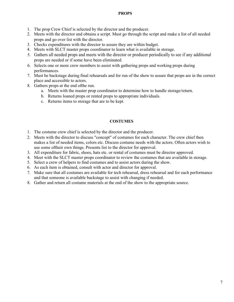## **PROPS**

- 1. The prop Crew Chief is selected by the director and the producer.
- 2. Meets with the director and obtains a script. Must go through the script and make a list of all needed props and go over list with the director.
- 3. Checks expenditures with the director to assure they are within budget.
- 4. Meets with SLCT master props coordinator to learn what is available in storage.
- 5. Gathers all needed props and meets with the director or producer periodically to see if any additional props are needed or if some have been eliminated.
- 6. Selects one or more crew members to assist with gathering props and working props during performances.
- 7. Must be backstage during final rehearsals and for run of the show to assure that props are in the correct place and accessible to actors.
- 8. Gathers props at the end ofthe run.
	- a. Meets with the master prop coordinator to determine how to handle storage/return.
	- b. Returns loaned props or rented props to appropriate individuals.
	- c. Returns items to storage that are to be kept.

## **COSTUMES**

- 1. The costume crew chief is selected by the director and the producer.
- 2. Meets with the director to discuss "concept" of costumes for each character. The crew chief then makes a list of needed items, colors etc. Discuss costume needs with the actors. Often actors wish to use some oftheir own things. Presents list to the director for approval.
- 3. All expenditure for fabric, shoes, hats etc. or rental of costumes must be director approved.
- 4. Meet with the SLCT master props coordinator to review the costumes that are available in storage.
- 5. Select a crew of helpers to find costumes and to assist actors during the show.
- 6. As each item is obtained, consult with actor and director for approval.
- 7. Make sure that all costumes are available for tech rehearsal, dress rehearsal and for each performance and that someone is available backstage to assist with changing if needed.
- 8. Gather and return all costume materials at the end of the show to the appropriate source.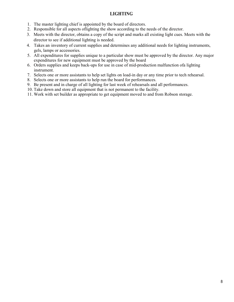# **LIGHTING**

- 1. The master lighting chief is appointed by the board of directors.
- 2. Responsible for all aspects oflighting the show according to the needs of the director.
- 3. Meets with the director, obtains a copy of the script and marks all existing light cues. Meets with the director to see if additional lighting is needed.
- 4. Takes an-inventory of current supplies and determines any additional needs for lighting instruments, gels, lamps or accessories.
- 5. All expenditures for supplies unique to a particular show must be approved by the director. Any major expenditures for new equipment must be approved by the board
- 6. Orders supplies and keeps back-ups for use in case of mid-production malfunction ofa lighting instrument.
- 7. Selects one or more assistants to help set lights on load-in day or any time prior to tech rehearsal.
- 8. Selects one or more assistants to help run the board for performances.
- 9. Be present and in charge of all lighting for last week of rehearsals and all performances.
- 10. Take down and store all equipment that is not permanent to the facility.
- 11. Work with set builder as appropriate to get equipment moved to and from Robson storage.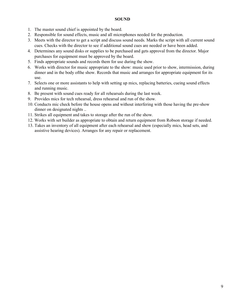#### **SOUND**

- 1. The master sound chief is appointed by the board.
- 2. Responsible for sound effects, music and all microphones needed for the production.
- 3. Meets with the director to get a script and discuss sound needs. Marks the script with all current sound cues. Checks with the director to see if additional sound cues are needed or have been added.
- 4. Determines any sound disks or supplies to be purchased and gets approval from the director. Major purchases for equipment must be approved by the board.
- 5. Finds appropriate sounds and records them for use during the show.
- 6. Works with director for music appropriate to the show: music used prior to show, intermission, during dinner and in the body ofthe show. Records that music and arranges for appropriate equipment for its use.
- 7. Selects one or more assistants to help with setting up mics, replacing batteries, cueing sound effects and running music.
- 8. Be present with sound cues ready for all rehearsals during the last week.
- 9. Provides mics for tech rehearsal, dress rehearsal and run of the show.
- 10. Conducts mic check before the house opens and without interfering with those having the pre-show dinner on designated nights ..
- 11. Strikes all equipment and takes to storage after the run of the show.
- 12. Works with set builder as appropriate to obtain and return equipment from Robson storage if needed.
- 13. Takes an inventory of all equipment after each rehearsal and show (especially mics, head sets, and assistive hearing devices). Arranges for any repair or replacement.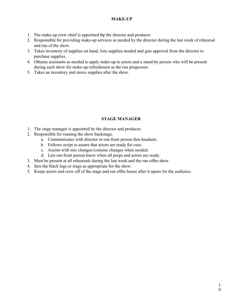# **MAKE-UP**

- 1. The make-up crew chief is appointed by the director and producer.
- 2. Responsible for providing make-up services as needed by the director during the last week of rehearsal and run of the show.
- 3. Takes inventory of supplies on hand, lists supplies needed and gets approval from the director to purchase supplies.
- 4. Obtains assistants as needed to apply make-up to actors and a stand-by person who will be present during each show for make-up refreshment as the run progresses.
- 5. Takes an inventory and stores supplies after the show.

# **STAGE MANAGER**

- 1. The stage manager is appointed by the director and producer.
- 2. Responsible for running the show backstage.
	- a. Communicates with director or out-front person thru headsets.
	- b. Follows script to assure that actors are ready for cues.
	- c. Assists with mic changes/costume changes when needed.
	- d. Lets out-front person know when all props and actors are ready.
- 3. Must be present at all rehearsals during the last week and the run ofthe show.
- 4. Sets the black legs or stage as appropriate for the show.
- 5. Keeps actors and crew off of the stage and out ofthe house after it opens for the audience.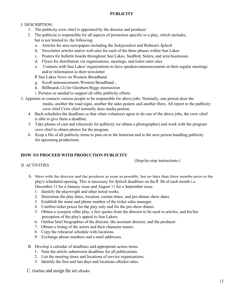# **PUBLICITY**

# I. DESCRIPTION:

- 1. The publicity crew chief is appointed by the director and producer
- 2. The publicist is responsible for all aspects of promotion specific to a play, which includes, but is not limited to, the following:
	- *a.* Articles for area newspapers including the *Independent* and Robson's *Splash*
	- b. Newsletter articles and/or web sites for each of the three phases within Sun Lakes
	- c. Posters for bulletin boards throughout Sun Lakes, SunBird, Solera, and area businesses
	- d. Flyers for distribution via organizations, meetings, and ticket sales sites
	- e. Contacts with Sun Lakes' organizations to have speakers/announcements at their regular meetings and/or information in their newsletter

f Sun Lakes News on Western Broadband.

- g. Scroll announcements Western Broadband ..
- h. Billboards (2) for Glenburn/Riggs intersection
- i. Pictures as needed to support all ofthe publicity efforts
- 3. Appoints or contacts various people to be responsible for above jobs. Normally, one person does the media, another the road signs, another the sales posters and another fliers. All report to the publicity crew chief Crew chief normally does media portion.
	- 4. Back-schedules the deadlines so that when volunteers agree to do one of the above jobs, the crew chief is able to give them a deadline.
	- 5. Take photos of cast and rehearsals for publicity (or obtain a photographer) and work with the program crew chief to obtain photos for the program.
	- 6. Keep a file of all publicity items to pass on to the historian and to the next person handling publicity for upcoming productions.

# **HOW TO PROCEED WITH PRODUCTION PUBLICITY**

(Step-by-step instructions.)

#### II. ACTIVITIES

- A. Meet with the director and the producer as soon as possible, but no later than three months prior to the play's scheduled opening. This is necessary for *Splash* deadlines on the l lth of each month i.e. December 11 for a January issue and August 11 for a September issue.
	- 1. Identify the playwright and other noted works.
	- 2. Determine the play dates, location, curtain times, and pre-dinner show dates.
	- 3. Establish the name and phone number of the ticket sales manager.
	- 4. Confirm ticket prices for the play only and for the pre-show dinner.
	- 5. Obtain a synopsis ofthe play, a few quotes from the director to be used in articles, and his/her perception of the play's appeal to Sun Lakers.
	- 6. Outline brief biographies of the director, the assistant director, and the producer.
	- 7. Obtain a listing of the actors and their character names.
	- 8. Copy the rehearsal schedule with locations.
	- 9. Exchange phone numbers and e-mail addresses.
- B. Develop a calendar of deadlines and appropriate action items.
	- 1. Note the article submission deadlines for all publications.
	- 2. List the meeting times and locations of service organizations.
	- 3. Identify the first and last days and locations ofticket sales.

C. Outline and assign the set oftasks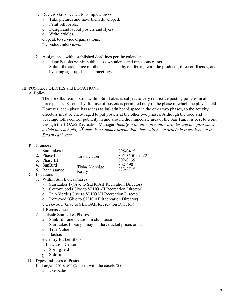- 1. Review skills needed to complete tasks.
	- a. Take pictures and have them developed.
	- b. Paint billboards.
	- c. Design and layout posters and flyers.
	- d. Write articles.
	- e.Speak to service organizations.
	- f Conduct interviews.
- 2. Assign tasks with established deadlines per the calendar.
	- a. Identify tasks within publicist's own talents and time constraints.
	- b. Solicit the assistance of others as needed by conferring with the producer, director, friends, and by using sign-up sheets at meetings.

# III. POSTER POLICIES and LOCATIONS

## A. Policy

The use ofbulletin boards within Sun Lakes is subject to very restrictive posting policies in all three phases. Essentially, full use of posters is permitted only in the phase in which the play is held. However, each phase has access to bulletin board space in the other two phases, so the activity directors must be encouraged to put posters at the other two phases. Although the food and beverage folks control publicity in and around the immediate area of the San Tan, it is best to work through the HOA#2 Recreation Manager. *Ideally, with three pre-show articles and one post-show article for each play, if there is a summer production, there will he an article in every issue of the Splash each year.* 

## B. Contacts

| 1. Sun Lakes I |                | 895-0415        |
|----------------|----------------|-----------------|
| 2. Phase II    | Linda Caton    | 895-3550 ext 22 |
| 3. Phase III   |                | 802-0139        |
| 4. SunBird     | Tisha Aldredge | 802-4901        |
| 5. Renaissance | Kathy          | 883-2715        |
| C. Locations   |                |                 |

- - 1. Within Sun Lakes Phases
		- a. Sun Lakes I (Give to SLHOAII Recreation Director)
		- b. Cottonwood (Give to SLHOAII Recreation Director)
		- c. Palo Verde (Give to SLHOAII Recreation Director)
		- d. Ironwood (Give to SLHOAII Recreation Director)

e.Oakwood (Give to SLHOAII Recreation Director)

- f Renaissance
- 2. Outside Sun Lakes Phases
	- a. Sunbird one location in clubhouse
	- b. Sun Lakes Library may not have ticket prices on it.
	- c. True Value
	- d. Bashas'
	- e.Gentry Barber Shop
	- f Education Center
	- f. Springfield
	- g. Sclera
- D. Types and Uses of Posters
	- 1. Large  $20'' \times 30''$  (2) used with the easels (2)
		- a. Ticket sales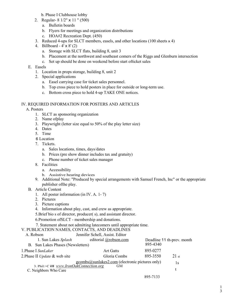b. Phase I Clubhouse lobby

- 2. Regular- 8 1/2" x 11 " (500)
	- a. Bulletin boards
	- b. Flyers for meetings and organization distributions
	- c. HOA#2 Recreation Dept. (450)
- 3. Reduced 4-ups for SLCT members, easels, and other locations (100 sheets x 4)
- 4. Billboard 4' x 8' (2)
	- a. Storage with SLCT flats, building 8, unit 3
	- b. Placement at the northwest and southeast comers of the Riggs and Glenburn intersection
	- c. Set up should be done on weekend before start ofticket sales

#### E. Easels

- 1. Location in props storage, building 8, unit 2
- 2. Special applications
	- a. Easel carrying case for ticket sales personnel.
	- b. Top cross piece to hold posters in place for outside or long-term use.
	- c. Bottom cross piece to hold 4-up TAKE ONE notices.

#### IV. REQUIRED INFORMATION FOR POSTERS AND ARTICLES

A. Posters

- 1. SLCT as sponsoring organization
- 2. Name ofplay
- 3. Playwright (letter size equal to 50% of the play letter size)
- 4. Dates
- 5. Time
- 6 Location
- 7. Tickets.
	- a. Sales locations, times, days/dates
	- b. Prices (pre show dinner includes tax and gratuity)
	- c. Phone number of ticket sales manager
- 8. Facilities
	- a. Accessibility
	- b. Assistive hearing devices
- 9. Additional Note: "Produced by special arrangements with Samuel French, Inc" or the appropriate publisher ofthe play.
- B. Article Content
	- 1. All poster information (in IV. A. 1- 7)
	- 2. Pictures
	- 3. Picture captions
	- 4. Information about play, cast, and crew as appropriate.

5.Brief bio s of director, producer( s), and assistant director.

6.Promotion ofSLCT - membership and donations.

7. Statement about not admitting latecomers until appropriate time.

V. PUBLICATION NAMES, CONTACTS, AND DEADLINES

| A. Robson                                                         | Jennifer Schell, Assist. Editor |          |                            |
|-------------------------------------------------------------------|---------------------------------|----------|----------------------------|
| 1. Sun Lakes Splash                                               | editorial @robson.com           |          | Deadline 11 th-prev. month |
| B. Sun Lakes Phases (Newsletters)                                 |                                 | 895-4340 |                            |
| 1. Phase I SunLaker                                               | <b>Art Gatts</b>                | 895-0277 |                            |
| 2. Phase II Update & web site                                     | Gloria Combs                    | 895-3550 | $21$ st                    |
|                                                                   | 1s                              |          |                            |
| 3. Phil:>C iII www.IronOakConnection.org<br>C. Neighbors Who Care | <b>GM</b>                       |          |                            |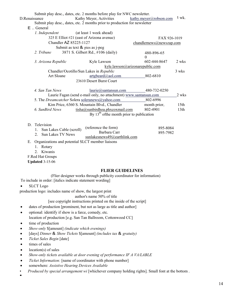| D.Renaissance            | $E$ General                                  |                                   | Submit play desc., dates, etc. 2 months before play for NWC newsletter.<br>Kathy Meyer, Activities<br>Submit play desc., dates, etc. 2 months prior to production for newsletter | kathy.meyer@robson.com          | $1$ wk.                  |  |
|--------------------------|----------------------------------------------|-----------------------------------|----------------------------------------------------------------------------------------------------------------------------------------------------------------------------------|---------------------------------|--------------------------|--|
|                          | 1. Independent                               |                                   | (at least 1 week ahead)                                                                                                                                                          |                                 |                          |  |
|                          |                                              |                                   | 325 E Elliot #21 (east of Arizona avenue)                                                                                                                                        | FAX 926-1019                    |                          |  |
|                          |                                              | Chandler AZ 85225-1127            |                                                                                                                                                                                  |                                 | chandlernews@newszap.com |  |
|                          |                                              | Submit as text $\&$ pies as j-peg |                                                                                                                                                                                  |                                 |                          |  |
|                          | 2. Tribune                                   |                                   | 3871 S. Gilbert Rd., #106 (daily)                                                                                                                                                | 480-896-65<br>$\theta$          |                          |  |
|                          | 3. Arizona Republic                          |                                   | Kyle Lawson                                                                                                                                                                      | 602-444-8647                    | 2 wks                    |  |
|                          |                                              |                                   |                                                                                                                                                                                  | kyle.lawson@arizonarepublic.com |                          |  |
|                          |                                              |                                   | Chandler/Ocotillo/Sun Lakes in Republic                                                                                                                                          |                                 | 3 wks                    |  |
|                          | Art Sloane                                   |                                   | artgbeard@aol.com                                                                                                                                                                | 802-6810                        |                          |  |
| 23610 Desert Burst Court |                                              |                                   |                                                                                                                                                                                  |                                 |                          |  |
|                          | 4. San Tan News                              |                                   | $laurie$ ( $\partial$ ) santansun.com                                                                                                                                            | 480-732-0250                    |                          |  |
|                          |                                              |                                   | Laurie Fagan (send e-mail only, no attachment) www.santansun.com                                                                                                                 |                                 | 2 wks                    |  |
|                          |                                              |                                   | 5. The Dreamcatcher Solera soleranews@yahoo.com                                                                                                                                  | 802-6996                        |                          |  |
|                          |                                              |                                   | Kim Price, 6360 S. Mountain Blvd., Chandler                                                                                                                                      | month prior,                    | 15 <sub>th</sub>         |  |
|                          | 6. SunBird News                              |                                   | tisha@sunbirdhoa.phxcoxmail.com                                                                                                                                                  | 802-4901                        | 13 <sup>th</sup>         |  |
|                          | By $13th$ of the month prior to publication  |                                   |                                                                                                                                                                                  |                                 |                          |  |
|                          | D. Television<br>1. Sun Lakes Cable (scroll) |                                   | (reference the form)<br>Barbara Carr                                                                                                                                             | 895-8084<br>895-7982            |                          |  |
|                          | Sun Lakes TV News<br>$2^{\circ}$             |                                   | sunlakesnews49@earthlink.com                                                                                                                                                     |                                 |                          |  |
| Е.                       |                                              |                                   | Organizations and potential SLCT member liaisons                                                                                                                                 |                                 |                          |  |
|                          | 1. Rotary                                    |                                   |                                                                                                                                                                                  |                                 |                          |  |
|                          | Kiwanis<br>$\overline{2}$                    |                                   |                                                                                                                                                                                  |                                 |                          |  |
|                          | F.Red Hat Groups                             |                                   |                                                                                                                                                                                  |                                 |                          |  |
|                          | <b>Updated 3-15-06</b>                       |                                   |                                                                                                                                                                                  |                                 |                          |  |
|                          |                                              |                                   |                                                                                                                                                                                  |                                 |                          |  |

#### **FLIER GUIDELINES**

(Flier designer works through publicity coordinator for information)

To include in order: [italics indicate statement wording]

• SLCT Logo

production logo: includes name of show, the largest print

#### author's name 50% of title

[see copyright instructions printed on the inside of the script]

- dates of production [prominent, but not as large as title and author]
- optional: identify if show is a farce, comedy, etc. location of production [e.g. San Tan Ballroom, Cottonwood CC]
- time of production
- *Show-only* \$[amount] *(indicate which evenings)*
- [days] *Dinner* & *Show Tickets* \$[amount] *(includes tax* & *gratuity)*
- *Ticket Sales Begin* [date]
- times of sales
- $location(s)$  of sales
- *Show-only tickets available at door evening of performance IF A VA/LABLE*
- *Ticket Information:* [name of coordinator with phone number]
- somewhere: *Assistive Hearing Devices Available*
- *Produced by special arrangement wi* [whichever company holding rights]. Small font at the bottom .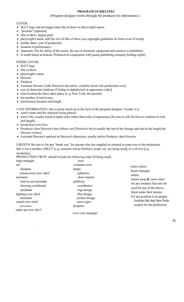## **PROGRAM GUIDELINES**

#### (Program designer works through the producer for information.)

#### COVER:

- SLCT logo, but not bigger than title of show or playwright's name.
- "presents" [optional]
- title of show, largest print
- playwright's name, half the size of title of show (see copyright guidelines on front cover of script)
- month, dates, year of production
- location of performance
- statement: For the safety of the actors, the use of electronic equipment and cameras is prohibited.
- in small letters at bottom: Produced in cooperation with [name publishing company holding rights]

#### INSIDE COVER:

- SLCT logo
- title of show
- playwright's name
- Director
- Producer
- Assistant Director [with Director's discretion, could be listed with production crew]
- cast of characters [indicate if listing in alphabetical or appearance order]
- time/location the show takes place [e. g. New York, the present]
- list number of acts/scenes
- intermission location and length

CAST INFORMATION: this is pretty much up to the style of the program designer. Usually it is:

- actor's name and the character being played.
- actor's bio, usually listed in alpha order rather than order of appearance [be sure to edit the bios to conform in style and length]
- production crew bios:
- Producer's then Director's bios follow cast [Director's bio is usually the last of the listings and can be the length the Director wishes]
- Assistant Director's optional at Director's discretion, usually before Producer, then Director

CREDITS: Be sure to list any "thank you" for anyone who has supplied or assisted in some way to the production that is not a member ofSLCT [e.g. someone whose furniture, props, etc. are being used]; or a service [e.g. taxidermy] .

| $\alpha$ ARCHIIY $\alpha$ |                                                                     |  |
|---------------------------|---------------------------------------------------------------------|--|
|                           | PRODUCTION CREW: should include the following order [if being used] |  |
| .                         |                                                                     |  |

| stage manager                                                                                                                                                                                                  | crew                                                                                                                                                                 |                                                                                                                                                                                                                                                  |
|----------------------------------------------------------------------------------------------------------------------------------------------------------------------------------------------------------------|----------------------------------------------------------------------------------------------------------------------------------------------------------------------|--------------------------------------------------------------------------------------------------------------------------------------------------------------------------------------------------------------------------------------------------|
| set:                                                                                                                                                                                                           | costumes crew                                                                                                                                                        | ticket sellers                                                                                                                                                                                                                                   |
| designer<br>construction crew chief<br>assistants<br>load-in/out assistants<br>dressing coordinator<br>assistants<br>lighting crew chief<br>assistants<br>sound crew chief<br>assistants<br>make-up crow ohicf | props:<br>gatherers<br>show runners<br>publicity:<br>coordinator<br>logo design<br>flier design<br>posters design<br>street signs<br>program<br>ticket sales manager | house manager<br>ushers<br>master prop & risers chief<br>list any mentees that may be<br>used for any of the above;<br>listed under their mentor<br>list any position in its proper<br>location that may have been<br>created for the production |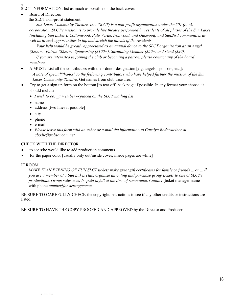e. SLCT INFORMATION: list as much as possible on the back cover:

• Board of Directors

the SLCT non-profit statement:

*Sun Lakes Community Theatre, Inc. (SLCT) is a non-profit organization under the 501 (c) (3) corporation. SLCT's mission is to provide live theatre performed by residents of all phases of the Sun Lakes (including Sun Lakes I. Cottonwood. Palo Verde. Ironwood. and Oakwood) and SunBird communities as well as to seek opportunities to tap and stretch the talents of the residents.* 

*Your help would be greatly appreciated as an annual donor to the SLCT organization as an Angel (\$500+), Patron (\$250+), Sponsoring (\$100+), Sustaining Member (\$50+, or Friend (\$20).* 

*If you are interested in joining the club or becoming a patron, please contact any of the board members.* 

- A MUST: List all the contributors with their donor designation [e.g. angels, sponsors, etc.]: *A note of special"thanks" to the following contributors who have helped further the mission of the Sun Lakes Community Theatre.* Get names from club treasurer.
- Try to get a sign up form on the bottom [to tear off] back page if possible. In any format your choose, it should include:
	- *I wish to be: \_a member --'placed on the SLCT mailing list*
	- name
	- address [two lines if possible]
	- city
	- phone
	- e-mail
	- *Please leave this form with an usher or e-mail the information to Carolyn Bodensteiner at cbodie@robsoncom.net.*

# CHECK WITH THE DIRECTOR

- to see s/he would like to add production comments
- for the paper color [usually only out/inside cover, inside pages are white]

# IF ROOM:

*MAKE IT AN EVENING OF FUN SLCT tickets make great gift certificates for family or friends* ... *or* ... *if you are a member of a Sun Lakes club, organize an outing and purchase group tickets to one of SLCT's productions. Group sales must be paid in full at the time of reservation. Contact* [ticket manager name with phone *number]for arrangements.* 

BE SURE TO CAREFULLY CHECK the copyright instructions to see if any other credits or instructions are listed.

BE SURE TO HAVE THE COPY PROOFED AND APPROVED by the Director and Producer.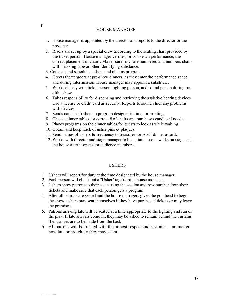#### HOUSE MANAGER

- 1. House manager is appointed by the director and reports to the director or the producer.
- 2. Risers are set up by a special crew according to the seating chart provided by the ticket person. House manager verifies, prior to each performance, the correct placement of chairs. Makes sure rows are numbered and numbers chairs with masking tape or other identifying substance.
- 3. Contacts and schedules ushers and obtains programs.
- 4. Greets theatergoers at pre-show dinners, as they enter the performance space, and during intermission. House manager may appoint a substitute.
- 5. Works closely with ticket person, lighting person, and sound person during run ofthe show.
- 6. Takes responsibility for dispensing and retrieving the assistive hearing devices. Use a license or credit card as security. Reports to sound chief any problems with devices.
- 7. Sends names of ushers to program designer in time for printing.
- 8. Checks dinner tables for correct # of chairs and purchases candles if needed.
- 9. Places programs on the dinner tables for guests to look at while waiting.
- 10. Obtain and keep track of usher pins & plaques.
- 11. Send names of ushers & frequency to treasurer for April dinner award.
- 12. Works with director and stage manager to be certain no one walks on stage or in the house after it opens for audience members.

#### USHERS

- 1. Ushers will report for duty at the time designated by the house manager.
- 2. Each person will check out a ''Usher'' tag fromthe house manager.
- 3. Ushers show patrons to their seats using the section and row number from their tickets and make sure that each person gets a program.
- 4. After all patrons are seated and the house managers gives the go-ahead to begin the show, ushers may seat themselves if they have purchased tickets or may leave the premises.
- 5. Patrons arriving late will be seated at a time appropriate to the lighting and run of the play. If late arrivals come in, they may be asked to remain behind the curtains if entrances are to be made from the back.
- 6. All patrons will be treated with the utmost respect and restraint ... no matter how late or crotchety they may seem.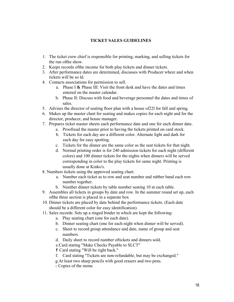# **TICKET SALES GUIDELINES**

- 1. The ticket crew chief is responsible for printing, marking, and selling tickets for the run ofthe show.
- 2. Keeps records ofthe income for both play tickets and dinner tickets.
- 3. After performance dates are determined, discusses with Producer where and when tickets will be so ld.
- 4. Contacts associations for permission to sell.
	- a. Phase I & Phase III: Visit the front desk and have the dates and times entered on the master calendar.
	- b. Phase II: Discuss with food and beverage personnel the dates and times of sales.
- 5. Advises the director of seating floor plan with a house of22l for fall and spring.
- 6. Makes up the master chart for seating and makes copies for each night and for the director, producer, and house manager.
- 7. Prepares ticket master sheets each performance date and one for each dinner date.
	- a. Proofread the master prior to having the tickets printed on card stock.
		- b. Tickets for each day are a different color. Alternate light and dark for each day for easy spotting.
		- c. Tickets for the dinner are the same color as the seat tickets for that night.
		- d. Normal printing order is for 240 admission tickets for each night (different colors) and 100 dinner tickets for the nights when dinners will be served corresponding in color to the play tickets for same night. Printing is usually done at Kinko's.
- 8. Numbers tickets using the approved seating chart.
	- a. Number each ticket as to row and seat number and rubber band each row number together.
	- b. Number dinner tickets by table number seating 10 at each table.
- 9. Assembles all tickets in groups by date and row. In the summer round set up, each ofthe three section is placed in a separate box
- 10. Dinner tickets are placed by date behind the performance tickets. (Each date should be a different color for easy identification).
- 11. Sales records: Sets up a ringed binder in which are kept the following:
	- a. Play seating chart (one for each date).
	- b. Dinner seating chart (one for each night when dinner will be served).
	- c. Sheet to record group attendance and date, name of group and seat numbers.
	- d. Daily sheet to record number oftickets and dinners sold.
	- e.Card stating "Make Checks Payable to SLCT"

f Card stating "Will be right back."

- f. Card stating ''Tickets are non-refundable, but may be exchanged."
- g.At least two sharp pencils with good erasers and two pens.

1. Copies of the menu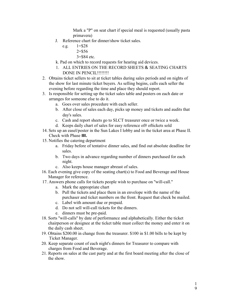Mark a "P" on seat chart if special meal is requested (usually pasta primavera)

- J. Reference chart for dinner/show ticket sales.
	- e.g.  $1 = $28$ 
		- 2=\$56
		- 3=\$84 etc.
- k. Pad on which to record requests for hearing aid devices.
- 1. ALL ENTRIES ON THE RECORD SHEETS & SEATING CHARTS DONE IN PENCIL!!!!!!!!
- 2. Obtains ticket sellers to sit at ticket tables during sales periods and on nights of the show for last minute ticket buyers. As selling begins, calls each seller the evening before regarding the time and place they should report.
- 3. Is responsible for setting up the ticket sales table and posters on each date or arranges for someone else to do it.
	- a. Goes over sales procedure with each seller.
	- b. After close of sales each day, picks up money and tickets and audits that day's sales.
	- c. Cash and report sheets go to SLCT treasurer once or twice a week.
	- d. Keeps daily chart of sales for easy reference of# oftickets sold
- 14. Sets up an easel/poster in the Sun Lakes I lobby and in the ticket area at Phase II. Check with Phase **III.**
- 15. Notifies the catering department
	- a. Friday before of tentative dinner sales, and find out absolute deadline for sales.
	- b. Two days in advance regarding number of dinners purchased for each night.
	- c. Also keeps house manager abreast of sales.
- 16. Each evening give copy of the seating chart(s) to Food and Beverage and House Manager for reference.
- 17. Answers phone calls for tickets people wish to purchase on ''will-call.''
	- a. Mark the appropriate chart
	- b. Pull the tickets and place them in an envelope with the name of the purchaser and ticket numbers on the front. Request that check be mailed.
	- c. Label with amount due or prepaid.
	- d. Do not sell will-call tickets for the dinners.
	- e. dinners must be pre-paid.
- 18. Sorts ''will-calls'' by date of performance and alphabetically. Either the ticket chairperson or designee at the ticket table must collect the money and enter it on the daily cash sheet.
- 19. Obtains \$200.00 in change from the treasurer. \$100 in \$1.00 bills to be kept by Ticket Manager.
- 20. Keep separate count of each night's dinners for Treasurer to compare with charges from Food and Beverage.
- 21. Reports on sales at the cast party and at the first board meeting after the close of the show.